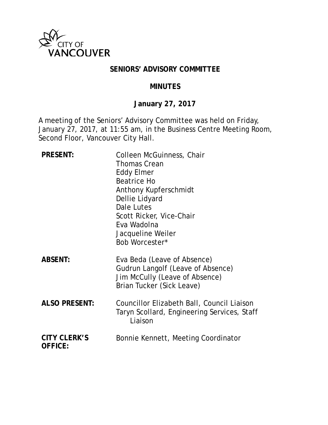

## **SENIORS' ADVISORY COMMITTEE**

#### **MINUTES**

# **January 27, 2017**

A meeting of the Seniors' Advisory Committee was held on Friday, January 27, 2017, at 11:55 am, in the Business Centre Meeting Room, Second Floor, Vancouver City Hall.

| <b>PRESENT:</b>                       | Colleen McGuinness, Chair<br><b>Thomas Crean</b><br><b>Eddy Elmer</b><br><b>Beatrice Ho</b><br>Anthony Kupferschmidt<br>Dellie Lidyard<br>Dale Lutes<br>Scott Ricker, Vice-Chair<br>Eva Wadolna<br>Jacqueline Weiler<br>Bob Worcester* |
|---------------------------------------|----------------------------------------------------------------------------------------------------------------------------------------------------------------------------------------------------------------------------------------|
| <b>ABSENT:</b>                        | Eva Beda (Leave of Absence)<br>Gudrun Langolf (Leave of Absence)<br>Jim McCully (Leave of Absence)<br>Brian Tucker (Sick Leave)                                                                                                        |
| <b>ALSO PRESENT:</b>                  | Councillor Elizabeth Ball, Council Liaison<br>Taryn Scollard, Engineering Services, Staff<br>Liaison                                                                                                                                   |
| <b>CITY CLERK'S</b><br><b>OFFICE:</b> | Bonnie Kennett, Meeting Coordinator                                                                                                                                                                                                    |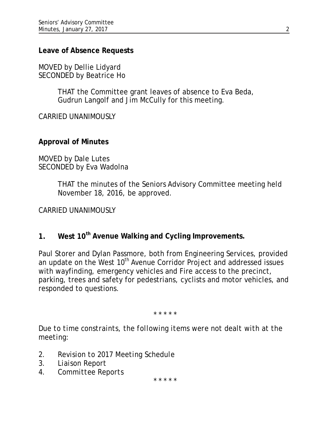### **Leave of Absence Requests**

MOVED by Dellie Lidyard SECONDED by Beatrice Ho

> THAT the Committee grant leaves of absence to Eva Beda, Gudrun Langolf and Jim McCully for this meeting.

CARRIED UNANIMOUSLY

#### **Approval of Minutes**

MOVED by Dale Lutes SECONDED by Eva Wadolna

> THAT the minutes of the Seniors Advisory Committee meeting held November 18, 2016, be approved.

CARRIED UNANIMOUSLY

**1. West 10th Avenue Walking and Cycling Improvements.**

Paul Storer and Dylan Passmore, both from Engineering Services, provided an update on the West 10<sup>th</sup> Avenue Corridor Project and addressed issues with wayfinding, emergency vehicles and Fire access to the precinct, parking, trees and safety for pedestrians, cyclists and motor vehicles, and responded to questions.

\* \* \* \* \*

*Due to time constraints, the following items were not dealt with at the meeting:*

- *2. Revision to 2017 Meeting Schedule*
- *3. Liaison Report*
- *4. Committee Reports*

\* \* \* \* \*